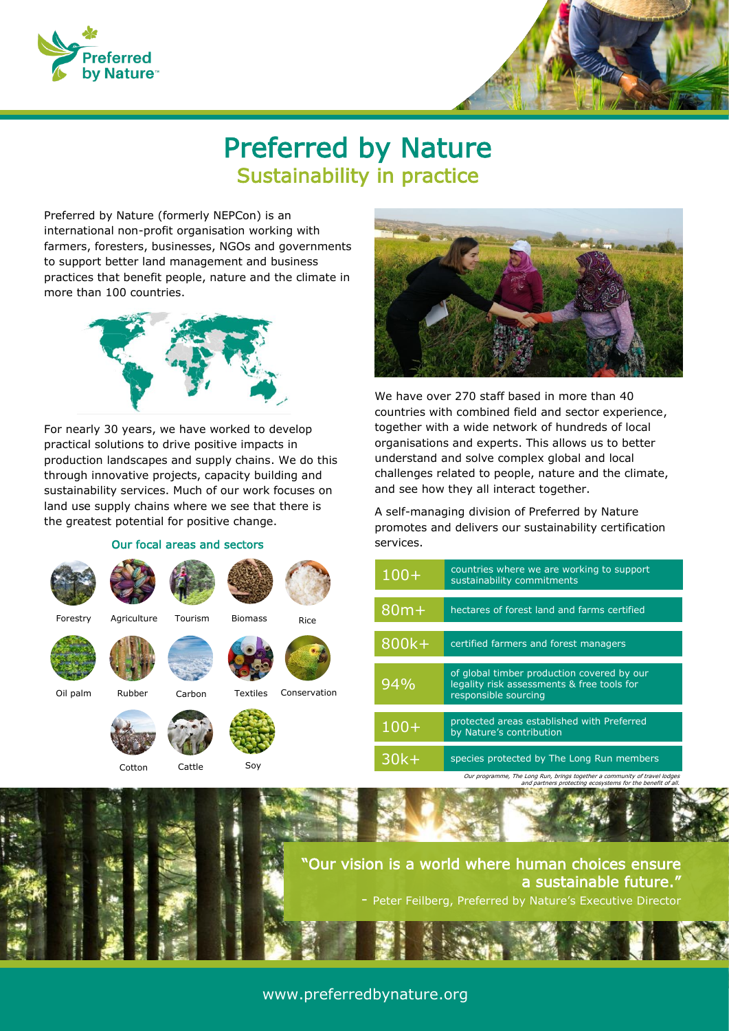



## Preferred by Nature Sustainability in practice

Preferred by Nature (formerly NEPCon) is an international non-profit organisation working with farmers, foresters, businesses, NGOs and governments to support better land management and business practices that benefit people, nature and the climate in more than 100 countries.



For nearly 30 years, we have worked to develop practical solutions to drive positive impacts in production landscapes and supply chains. We do this through innovative projects, capacity building and sustainability services. Much of our work focuses on land use supply chains where we see that there is the greatest potential for positive change.

#### Our focal areas and sectors

Cotton Cattle Soy

Forestry Agriculture Tourism

Oil palm Rubber



We have over 270 staff based in more than 40 countries with combined field and sector experience, together with a wide network of hundreds of local organisations and experts. This allows us to better understand and solve complex global and local challenges related to people, nature and the climate, and see how they all interact together.

A self-managing division of Preferred by Nature promotes and delivers our sustainability certification services.

| $100+$ | countries where we are working to support<br>sustainability commitments                                          |
|--------|------------------------------------------------------------------------------------------------------------------|
| $80m+$ | hectares of forest land and farms certified                                                                      |
| 800k+  | certified farmers and forest managers                                                                            |
| 94%    | of global timber production covered by our<br>legality risk assessments & free tools for<br>responsible sourcing |
| $100+$ | protected areas established with Preferred<br>by Nature's contribution                                           |
| $30k+$ | species protected by The Long Run members                                                                        |

Our programme, The Long Run, brings together a community of travel lodge



Rice

Biomass

Carbon Textiles Conservation